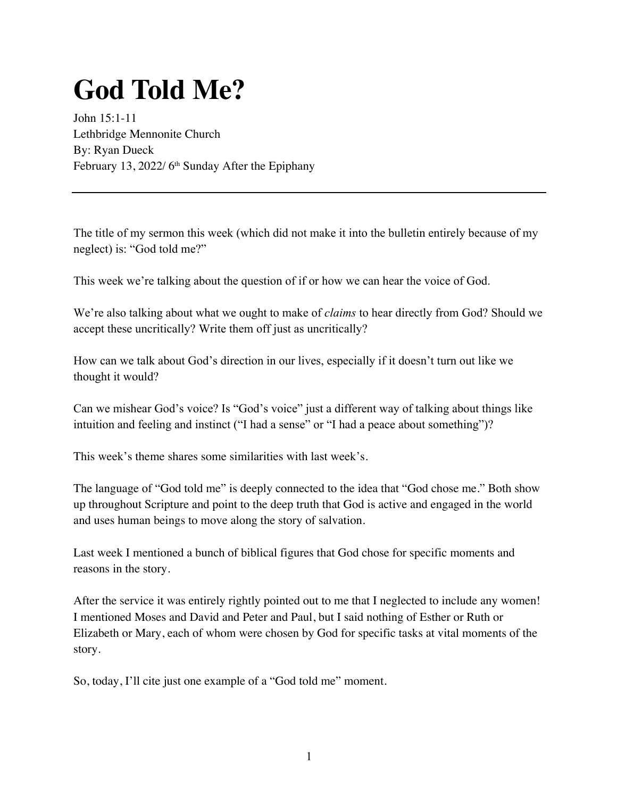## **God Told Me?**

John 15:1-11 Lethbridge Mennonite Church By: Ryan Dueck February 13, 2022/ 6<sup>th</sup> Sunday After the Epiphany

The title of my sermon this week (which did not make it into the bulletin entirely because of my neglect) is: "God told me?"

This week we're talking about the question of if or how we can hear the voice of God.

We're also talking about what we ought to make of *claims* to hear directly from God? Should we accept these uncritically? Write them off just as uncritically?

How can we talk about God's direction in our lives, especially if it doesn't turn out like we thought it would?

Can we mishear God's voice? Is "God's voice" just a different way of talking about things like intuition and feeling and instinct ("I had a sense" or "I had a peace about something")?

This week's theme shares some similarities with last week's.

The language of "God told me" is deeply connected to the idea that "God chose me." Both show up throughout Scripture and point to the deep truth that God is active and engaged in the world and uses human beings to move along the story of salvation.

Last week I mentioned a bunch of biblical figures that God chose for specific moments and reasons in the story.

After the service it was entirely rightly pointed out to me that I neglected to include any women! I mentioned Moses and David and Peter and Paul, but I said nothing of Esther or Ruth or Elizabeth or Mary, each of whom were chosen by God for specific tasks at vital moments of the story.

So, today, I'll cite just one example of a "God told me" moment.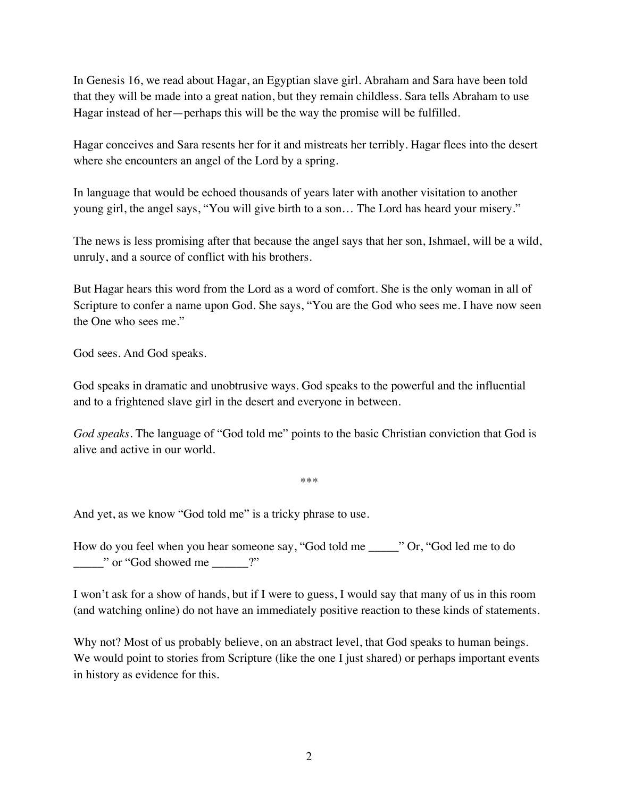In Genesis 16, we read about Hagar, an Egyptian slave girl. Abraham and Sara have been told that they will be made into a great nation, but they remain childless. Sara tells Abraham to use Hagar instead of her—perhaps this will be the way the promise will be fulfilled.

Hagar conceives and Sara resents her for it and mistreats her terribly. Hagar flees into the desert where she encounters an angel of the Lord by a spring.

In language that would be echoed thousands of years later with another visitation to another young girl, the angel says, "You will give birth to a son… The Lord has heard your misery."

The news is less promising after that because the angel says that her son, Ishmael, will be a wild, unruly, and a source of conflict with his brothers.

But Hagar hears this word from the Lord as a word of comfort. She is the only woman in all of Scripture to confer a name upon God. She says, "You are the God who sees me. I have now seen the One who sees me."

God sees. And God speaks.

God speaks in dramatic and unobtrusive ways. God speaks to the powerful and the influential and to a frightened slave girl in the desert and everyone in between.

*God speaks.* The language of "God told me" points to the basic Christian conviction that God is alive and active in our world.

\*\*\*

And yet, as we know "God told me" is a tricky phrase to use.

How do you feel when you hear someone say, "God told me \_\_\_\_\_" Or, "God led me to do \_\_\_\_\_" or "God showed me \_\_\_\_\_\_?"

I won't ask for a show of hands, but if I were to guess, I would say that many of us in this room (and watching online) do not have an immediately positive reaction to these kinds of statements.

Why not? Most of us probably believe, on an abstract level, that God speaks to human beings. We would point to stories from Scripture (like the one I just shared) or perhaps important events in history as evidence for this.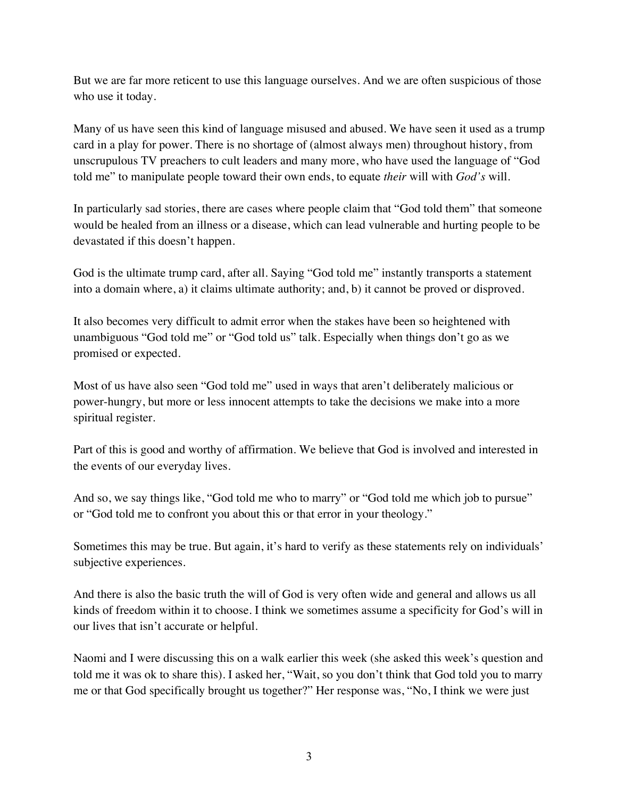But we are far more reticent to use this language ourselves. And we are often suspicious of those who use it today.

Many of us have seen this kind of language misused and abused. We have seen it used as a trump card in a play for power. There is no shortage of (almost always men) throughout history, from unscrupulous TV preachers to cult leaders and many more, who have used the language of "God told me" to manipulate people toward their own ends, to equate *their* will with *God's* will.

In particularly sad stories, there are cases where people claim that "God told them" that someone would be healed from an illness or a disease, which can lead vulnerable and hurting people to be devastated if this doesn't happen.

God is the ultimate trump card, after all. Saying "God told me" instantly transports a statement into a domain where, a) it claims ultimate authority; and, b) it cannot be proved or disproved.

It also becomes very difficult to admit error when the stakes have been so heightened with unambiguous "God told me" or "God told us" talk. Especially when things don't go as we promised or expected.

Most of us have also seen "God told me" used in ways that aren't deliberately malicious or power-hungry, but more or less innocent attempts to take the decisions we make into a more spiritual register.

Part of this is good and worthy of affirmation. We believe that God is involved and interested in the events of our everyday lives.

And so, we say things like, "God told me who to marry" or "God told me which job to pursue" or "God told me to confront you about this or that error in your theology."

Sometimes this may be true. But again, it's hard to verify as these statements rely on individuals' subjective experiences.

And there is also the basic truth the will of God is very often wide and general and allows us all kinds of freedom within it to choose. I think we sometimes assume a specificity for God's will in our lives that isn't accurate or helpful.

Naomi and I were discussing this on a walk earlier this week (she asked this week's question and told me it was ok to share this). I asked her, "Wait, so you don't think that God told you to marry me or that God specifically brought us together?" Her response was, "No, I think we were just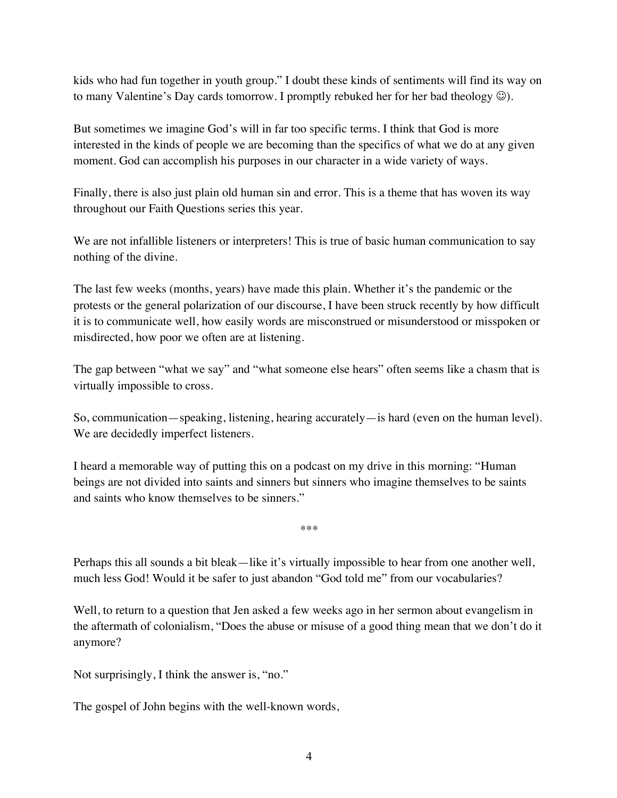kids who had fun together in youth group." I doubt these kinds of sentiments will find its way on to many Valentine's Day cards tomorrow. I promptly rebuked her for her bad theology  $\circledcirc$ ).

But sometimes we imagine God's will in far too specific terms. I think that God is more interested in the kinds of people we are becoming than the specifics of what we do at any given moment. God can accomplish his purposes in our character in a wide variety of ways.

Finally, there is also just plain old human sin and error. This is a theme that has woven its way throughout our Faith Questions series this year.

We are not infallible listeners or interpreters! This is true of basic human communication to say nothing of the divine.

The last few weeks (months, years) have made this plain. Whether it's the pandemic or the protests or the general polarization of our discourse, I have been struck recently by how difficult it is to communicate well, how easily words are misconstrued or misunderstood or misspoken or misdirected, how poor we often are at listening.

The gap between "what we say" and "what someone else hears" often seems like a chasm that is virtually impossible to cross.

So, communication—speaking, listening, hearing accurately—is hard (even on the human level). We are decidedly imperfect listeners.

I heard a memorable way of putting this on a podcast on my drive in this morning: "Human beings are not divided into saints and sinners but sinners who imagine themselves to be saints and saints who know themselves to be sinners."

\*\*\*

Perhaps this all sounds a bit bleak—like it's virtually impossible to hear from one another well, much less God! Would it be safer to just abandon "God told me" from our vocabularies?

Well, to return to a question that Jen asked a few weeks ago in her sermon about evangelism in the aftermath of colonialism, "Does the abuse or misuse of a good thing mean that we don't do it anymore?

Not surprisingly, I think the answer is, "no."

The gospel of John begins with the well-known words,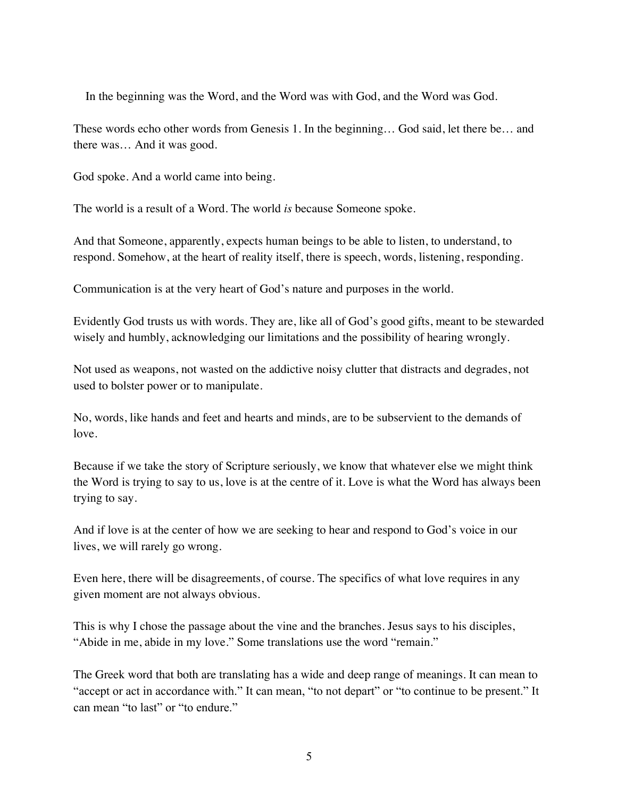In the beginning was the Word, and the Word was with God, and the Word was God.

These words echo other words from Genesis 1. In the beginning… God said, let there be… and there was… And it was good.

God spoke. And a world came into being.

The world is a result of a Word. The world *is* because Someone spoke.

And that Someone, apparently, expects human beings to be able to listen, to understand, to respond. Somehow, at the heart of reality itself, there is speech, words, listening, responding.

Communication is at the very heart of God's nature and purposes in the world.

Evidently God trusts us with words. They are, like all of God's good gifts, meant to be stewarded wisely and humbly, acknowledging our limitations and the possibility of hearing wrongly.

Not used as weapons, not wasted on the addictive noisy clutter that distracts and degrades, not used to bolster power or to manipulate.

No, words, like hands and feet and hearts and minds, are to be subservient to the demands of love.

Because if we take the story of Scripture seriously, we know that whatever else we might think the Word is trying to say to us, love is at the centre of it. Love is what the Word has always been trying to say.

And if love is at the center of how we are seeking to hear and respond to God's voice in our lives, we will rarely go wrong.

Even here, there will be disagreements, of course. The specifics of what love requires in any given moment are not always obvious.

This is why I chose the passage about the vine and the branches. Jesus says to his disciples, "Abide in me, abide in my love." Some translations use the word "remain."

The Greek word that both are translating has a wide and deep range of meanings. It can mean to "accept or act in accordance with." It can mean, "to not depart" or "to continue to be present." It can mean "to last" or "to endure."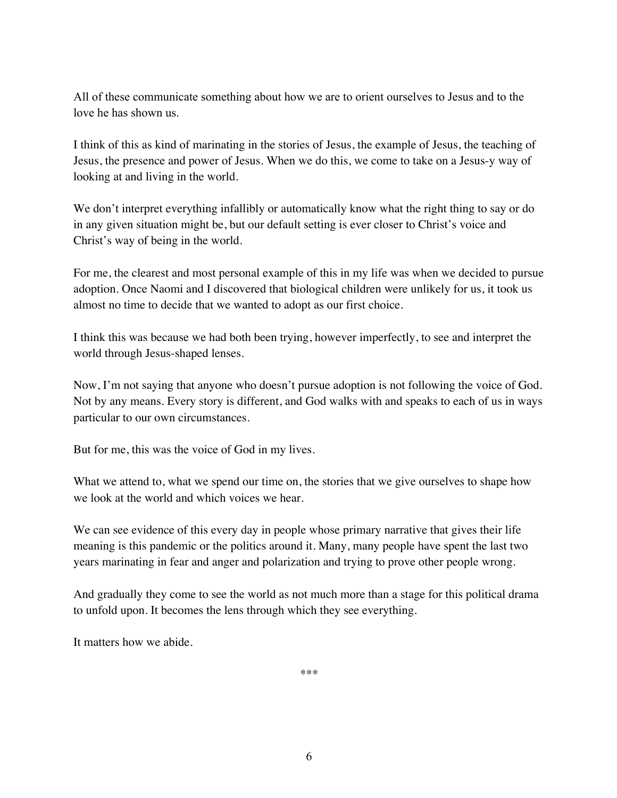All of these communicate something about how we are to orient ourselves to Jesus and to the love he has shown us.

I think of this as kind of marinating in the stories of Jesus, the example of Jesus, the teaching of Jesus, the presence and power of Jesus. When we do this, we come to take on a Jesus-y way of looking at and living in the world.

We don't interpret everything infallibly or automatically know what the right thing to say or do in any given situation might be, but our default setting is ever closer to Christ's voice and Christ's way of being in the world.

For me, the clearest and most personal example of this in my life was when we decided to pursue adoption. Once Naomi and I discovered that biological children were unlikely for us, it took us almost no time to decide that we wanted to adopt as our first choice.

I think this was because we had both been trying, however imperfectly, to see and interpret the world through Jesus-shaped lenses.

Now, I'm not saying that anyone who doesn't pursue adoption is not following the voice of God. Not by any means. Every story is different, and God walks with and speaks to each of us in ways particular to our own circumstances.

But for me, this was the voice of God in my lives.

What we attend to, what we spend our time on, the stories that we give ourselves to shape how we look at the world and which voices we hear.

We can see evidence of this every day in people whose primary narrative that gives their life meaning is this pandemic or the politics around it. Many, many people have spent the last two years marinating in fear and anger and polarization and trying to prove other people wrong.

And gradually they come to see the world as not much more than a stage for this political drama to unfold upon. It becomes the lens through which they see everything.

It matters how we abide.

\*\*\*